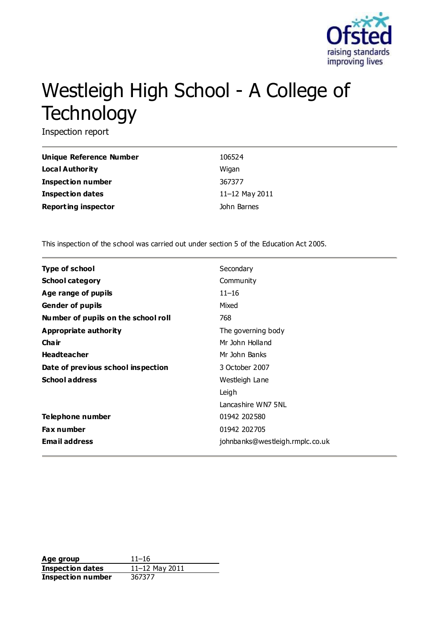

# Westleigh High School - A College of **Technology**

Inspection report

| Unique Reference Number    | 106524         |
|----------------------------|----------------|
| Local Authority            | Wigan          |
| <b>Inspection number</b>   | 367377         |
| Inspection dates           | 11-12 May 2011 |
| <b>Reporting inspector</b> | John Barnes    |

This inspection of the school was carried out under section 5 of the Education Act 2005.

| <b>Type of school</b>               | Secondary                       |
|-------------------------------------|---------------------------------|
| <b>School category</b>              | Community                       |
| Age range of pupils                 | $11 - 16$                       |
| <b>Gender of pupils</b>             | Mixed                           |
| Number of pupils on the school roll | 768                             |
| Appropriate authority               | The governing body              |
| <b>Chair</b>                        | Mr John Holland                 |
| <b>Headteacher</b>                  | Mr John Banks                   |
| Date of previous school inspection  | 3 October 2007                  |
| <b>School address</b>               | Westleigh Lane                  |
|                                     | Leigh                           |
|                                     | Lancashire WN7 5NL              |
| Telephone number                    | 01942 202580                    |
| <b>Fax number</b>                   | 01942 202705                    |
| <b>Email address</b>                | johnbanks@westleigh.rmplc.co.uk |

**Age group** 11–16 **Inspection dates** 11–12 May 2011 **Inspection number** 367377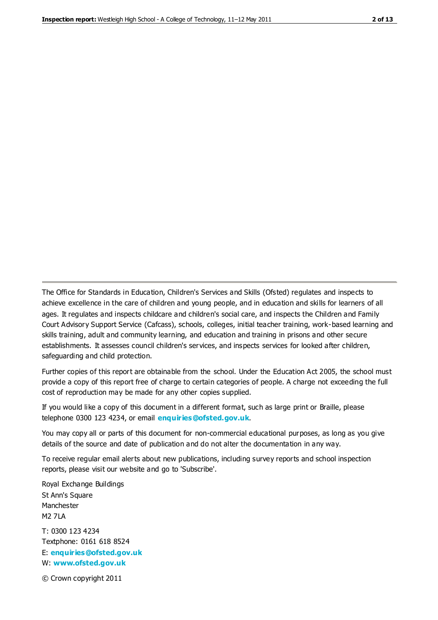The Office for Standards in Education, Children's Services and Skills (Ofsted) regulates and inspects to achieve excellence in the care of children and young people, and in education and skills for learners of all ages. It regulates and inspects childcare and children's social care, and inspects the Children and Family Court Advisory Support Service (Cafcass), schools, colleges, initial teacher training, work-based learning and skills training, adult and community learning, and education and training in prisons and other secure establishments. It assesses council children's services, and inspects services for looked after children, safeguarding and child protection.

Further copies of this report are obtainable from the school. Under the Education Act 2005, the school must provide a copy of this report free of charge to certain categories of people. A charge not exceeding the full cost of reproduction may be made for any other copies supplied.

If you would like a copy of this document in a different format, such as large print or Braille, please telephone 0300 123 4234, or email **[enquiries@ofsted.gov.uk](mailto:enquiries@ofsted.gov.uk)**.

You may copy all or parts of this document for non-commercial educational purposes, as long as you give details of the source and date of publication and do not alter the documentation in any way.

To receive regular email alerts about new publications, including survey reports and school inspection reports, please visit our website and go to 'Subscribe'.

Royal Exchange Buildings St Ann's Square Manchester M2 7LA T: 0300 123 4234 Textphone: 0161 618 8524 E: **[enquiries@ofsted.gov.uk](mailto:enquiries@ofsted.gov.uk)**

W: **[www.ofsted.gov.uk](http://www.ofsted.gov.uk/)**

© Crown copyright 2011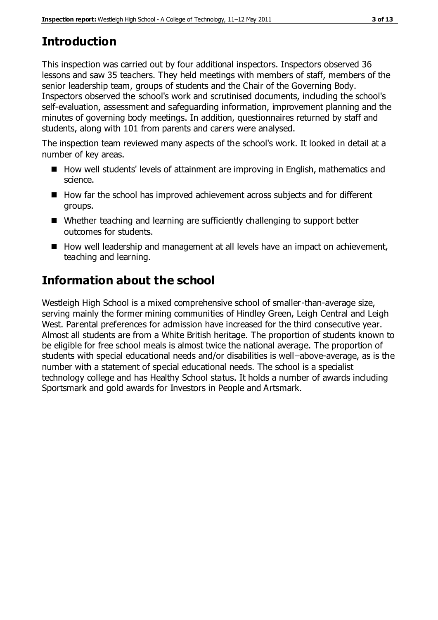# **Introduction**

This inspection was carried out by four additional inspectors. Inspectors observed 36 lessons and saw 35 teachers. They held meetings with members of staff, members of the senior leadership team, groups of students and the Chair of the Governing Body. Inspectors observed the school's work and scrutinised documents, including the school's self-evaluation, assessment and safeguarding information, improvement planning and the minutes of governing body meetings. In addition, questionnaires returned by staff and students, along with 101 from parents and carers were analysed.

The inspection team reviewed many aspects of the school's work. It looked in detail at a number of key areas.

- How well students' levels of attainment are improving in English, mathematics and science.
- How far the school has improved achievement across subjects and for different groups.
- Whether teaching and learning are sufficiently challenging to support better outcomes for students.
- How well leadership and management at all levels have an impact on achievement, teaching and learning.

# **Information about the school**

Westleigh High School is a mixed comprehensive school of smaller-than-average size, serving mainly the former mining communities of Hindley Green, Leigh Central and Leigh West. Parental preferences for admission have increased for the third consecutive year. Almost all students are from a White British heritage. The proportion of students known to be eligible for free school meals is almost twice the national average. The proportion of students with special educational needs and/or disabilities is well–above-average, as is the number with a statement of special educational needs. The school is a specialist technology college and has Healthy School status. It holds a number of awards including Sportsmark and gold awards for Investors in People and Artsmark.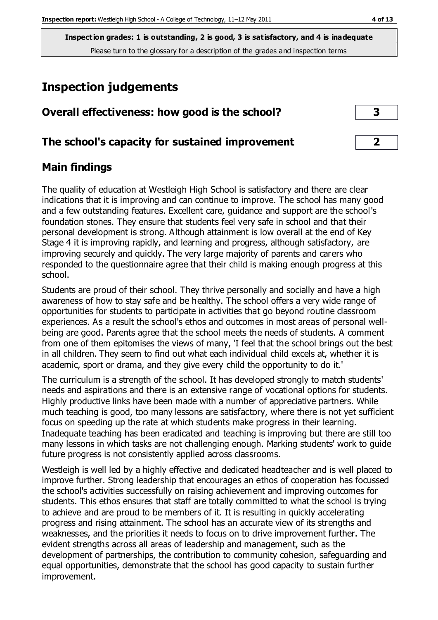## **Inspection judgements**

| Overall effectiveness: how good is the school? |  |
|------------------------------------------------|--|
|------------------------------------------------|--|

## **The school's capacity for sustained improvement 2**

## **Main findings**

The quality of education at Westleigh High School is satisfactory and there are clear indications that it is improving and can continue to improve. The school has many good and a few outstanding features. Excellent care, guidance and support are the school's foundation stones. They ensure that students feel very safe in school and that their personal development is strong. Although attainment is low overall at the end of Key Stage 4 it is improving rapidly, and learning and progress, although satisfactory, are improving securely and quickly. The very large majority of parents and carers who responded to the questionnaire agree that their child is making enough progress at this school.

Students are proud of their school. They thrive personally and socially and have a high awareness of how to stay safe and be healthy. The school offers a very wide range of opportunities for students to participate in activities that go beyond routine classroom experiences. As a result the school's ethos and outcomes in most areas of personal wellbeing are good. Parents agree that the school meets the needs of students. A comment from one of them epitomises the views of many, 'I feel that the school brings out the best in all children. They seem to find out what each individual child excels at, whether it is academic, sport or drama, and they give every child the opportunity to do it.'

The curriculum is a strength of the school. It has developed strongly to match students' needs and aspirations and there is an extensive range of vocational options for students. Highly productive links have been made with a number of appreciative partners. While much teaching is good, too many lessons are satisfactory, where there is not yet sufficient focus on speeding up the rate at which students make progress in their learning. Inadequate teaching has been eradicated and teaching is improving but there are still too many lessons in which tasks are not challenging enough. Marking students' work to guide future progress is not consistently applied across classrooms.

Westleigh is well led by a highly effective and dedicated headteacher and is well placed to improve further. Strong leadership that encourages an ethos of cooperation has focussed the school's activities successfully on raising achievement and improving outcomes for students. This ethos ensures that staff are totally committed to what the school is trying to achieve and are proud to be members of it. It is resulting in quickly accelerating progress and rising attainment. The school has an accurate view of its strengths and weaknesses, and the priorities it needs to focus on to drive improvement further. The evident strengths across all areas of leadership and management, such as the development of partnerships, the contribution to community cohesion, safeguarding and equal opportunities, demonstrate that the school has good capacity to sustain further improvement.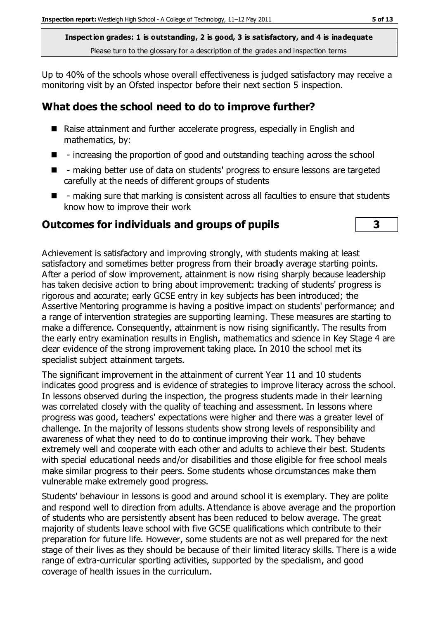Up to 40% of the schools whose overall effectiveness is judged satisfactory may receive a monitoring visit by an Ofsted inspector before their next section 5 inspection.

## **What does the school need to do to improve further?**

- Raise attainment and further accelerate progress, especially in English and mathematics, by:
- $\blacksquare$  increasing the proportion of good and outstanding teaching across the school
- - making better use of data on students' progress to ensure lessons are targeted carefully at the needs of different groups of students
- $\blacksquare$  making sure that marking is consistent across all faculties to ensure that students know how to improve their work

#### **Outcomes for individuals and groups of pupils 3**

Achievement is satisfactory and improving strongly, with students making at least satisfactory and sometimes better progress from their broadly average starting points. After a period of slow improvement, attainment is now rising sharply because leadership has taken decisive action to bring about improvement: tracking of students' progress is rigorous and accurate; early GCSE entry in key subjects has been introduced; the Assertive Mentoring programme is having a positive impact on students' performance; and a range of intervention strategies are supporting learning. These measures are starting to make a difference. Consequently, attainment is now rising significantly. The results from the early entry examination results in English, mathematics and science in Key Stage 4 are clear evidence of the strong improvement taking place. In 2010 the school met its specialist subject attainment targets.

The significant improvement in the attainment of current Year 11 and 10 students indicates good progress and is evidence of strategies to improve literacy across the school. In lessons observed during the inspection, the progress students made in their learning was correlated closely with the quality of teaching and assessment. In lessons where progress was good, teachers' expectations were higher and there was a greater level of challenge. In the majority of lessons students show strong levels of responsibility and awareness of what they need to do to continue improving their work. They behave extremely well and cooperate with each other and adults to achieve their best. Students with special educational needs and/or disabilities and those eligible for free school meals make similar progress to their peers. Some students whose circumstances make them vulnerable make extremely good progress.

Students' behaviour in lessons is good and around school it is exemplary. They are polite and respond well to direction from adults. Attendance is above average and the proportion of students who are persistently absent has been reduced to below average. The great majority of students leave school with five GCSE qualifications which contribute to their preparation for future life. However, some students are not as well prepared for the next stage of their lives as they should be because of their limited literacy skills. There is a wide range of extra-curricular sporting activities, supported by the specialism, and good coverage of health issues in the curriculum.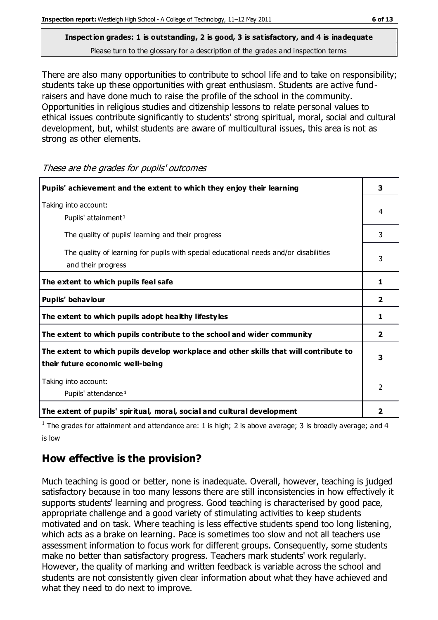There are also many opportunities to contribute to school life and to take on responsibility; students take up these opportunities with great enthusiasm. Students are active fundraisers and have done much to raise the profile of the school in the community. Opportunities in religious studies and citizenship lessons to relate personal values to ethical issues contribute significantly to students' strong spiritual, moral, social and cultural development, but, whilst students are aware of multicultural issues, this area is not as strong as other elements.

**Pupils' achievement and the extent to which they enjoy their learning 3** Taking into account: Pupils' attainment<sup>1</sup> 4 The quality of pupils' learning and their progress and the state of the state of the state of the state of the state of the state of the state of the state of the state of the state of the state of the state of the state o The quality of learning for pupils with special educational needs and/or disabilities and their progress 3 The extent to which pupils feel safe  $\begin{array}{ccc} 1 & 1 \end{array}$ **Pupils' behaviour 2 The extent to which pupils adopt healthy lifestyles 1 The extent to which pupils contribute to the school and wider community 2 The extent to which pupils develop workplace and other skills that will contribute to their future economic well-being 3** Taking into account: Pupils' attendance<sup>1</sup> 2 **The extent of pupils' spiritual, moral, social and cultural development 2**

These are the grades for pupils' outcomes

<sup>1</sup> The grades for attainment and attendance are: 1 is high; 2 is above average; 3 is broadly average; and 4 is low

## **How effective is the provision?**

Much teaching is good or better, none is inadequate. Overall, however, teaching is judged satisfactory because in too many lessons there are still inconsistencies in how effectively it supports students' learning and progress. Good teaching is characterised by good pace, appropriate challenge and a good variety of stimulating activities to keep students motivated and on task. Where teaching is less effective students spend too long listening, which acts as a brake on learning. Pace is sometimes too slow and not all teachers use assessment information to focus work for different groups. Consequently, some students make no better than satisfactory progress. Teachers mark students' work regularly. However, the quality of marking and written feedback is variable across the school and students are not consistently given clear information about what they have achieved and what they need to do next to improve.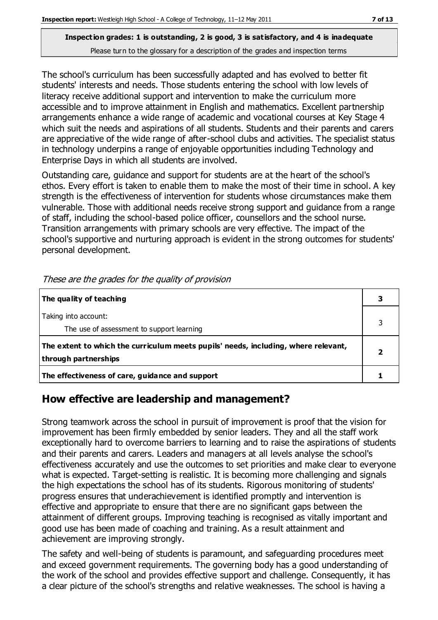The school's curriculum has been successfully adapted and has evolved to better fit students' interests and needs. Those students entering the school with low levels of literacy receive additional support and intervention to make the curriculum more accessible and to improve attainment in English and mathematics. Excellent partnership arrangements enhance a wide range of academic and vocational courses at Key Stage 4 which suit the needs and aspirations of all students. Students and their parents and carers are appreciative of the wide range of after-school clubs and activities. The specialist status in technology underpins a range of enjoyable opportunities including Technology and Enterprise Days in which all students are involved.

Outstanding care, guidance and support for students are at the heart of the school's ethos. Every effort is taken to enable them to make the most of their time in school. A key strength is the effectiveness of intervention for students whose circumstances make them vulnerable. Those with additional needs receive strong support and guidance from a range of staff, including the school-based police officer, counsellors and the school nurse. Transition arrangements with primary schools are very effective. The impact of the school's supportive and nurturing approach is evident in the strong outcomes for students' personal development.

| The quality of teaching                                                                                    |  |
|------------------------------------------------------------------------------------------------------------|--|
| Taking into account:<br>The use of assessment to support learning                                          |  |
| The extent to which the curriculum meets pupils' needs, including, where relevant,<br>through partnerships |  |
| The effectiveness of care, guidance and support                                                            |  |

These are the grades for the quality of provision

## **How effective are leadership and management?**

Strong teamwork across the school in pursuit of improvement is proof that the vision for improvement has been firmly embedded by senior leaders. They and all the staff work exceptionally hard to overcome barriers to learning and to raise the aspirations of students and their parents and carers. Leaders and managers at all levels analyse the school's effectiveness accurately and use the outcomes to set priorities and make clear to everyone what is expected. Target-setting is realistic. It is becoming more challenging and signals the high expectations the school has of its students. Rigorous monitoring of students' progress ensures that underachievement is identified promptly and intervention is effective and appropriate to ensure that there are no significant gaps between the attainment of different groups. Improving teaching is recognised as vitally important and good use has been made of coaching and training. As a result attainment and achievement are improving strongly.

The safety and well-being of students is paramount, and safeguarding procedures meet and exceed government requirements. The governing body has a good understanding of the work of the school and provides effective support and challenge. Consequently, it has a clear picture of the school's strengths and relative weaknesses. The school is having a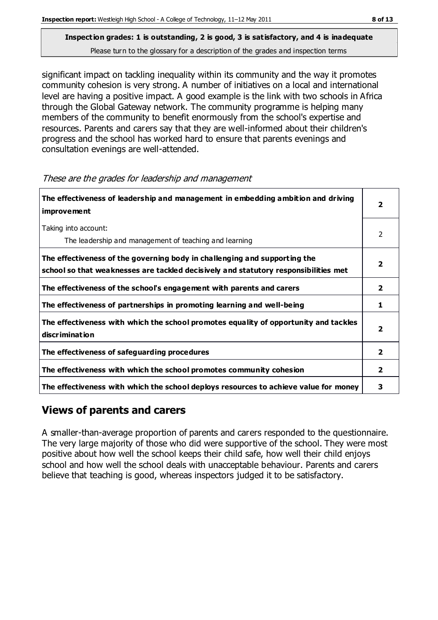significant impact on tackling inequality within its community and the way it promotes community cohesion is very strong. A number of initiatives on a local and international level are having a positive impact. A good example is the link with two schools in Africa through the Global Gateway network. The community programme is helping many members of the community to benefit enormously from the school's expertise and resources. Parents and carers say that they are well-informed about their children's progress and the school has worked hard to ensure that parents evenings and consultation evenings are well-attended.

These are the grades for leadership and management

| The effectiveness of leadership and management in embedding ambition and driving<br>improvement                                                                  |                |  |
|------------------------------------------------------------------------------------------------------------------------------------------------------------------|----------------|--|
| Taking into account:<br>The leadership and management of teaching and learning                                                                                   | 2              |  |
| The effectiveness of the governing body in challenging and supporting the<br>school so that weaknesses are tackled decisively and statutory responsibilities met |                |  |
| The effectiveness of the school's engagement with parents and carers                                                                                             | $\mathbf{2}$   |  |
| The effectiveness of partnerships in promoting learning and well-being                                                                                           | 1              |  |
| The effectiveness with which the school promotes equality of opportunity and tackles<br><b>discrimination</b>                                                    | 2              |  |
| The effectiveness of safeguarding procedures                                                                                                                     | $\overline{2}$ |  |
| The effectiveness with which the school promotes community cohesion                                                                                              |                |  |
| The effectiveness with which the school deploys resources to achieve value for money                                                                             |                |  |

## **Views of parents and carers**

A smaller-than-average proportion of parents and carers responded to the questionnaire. The very large majority of those who did were supportive of the school. They were most positive about how well the school keeps their child safe, how well their child enjoys school and how well the school deals with unacceptable behaviour. Parents and carers believe that teaching is good, whereas inspectors judged it to be satisfactory.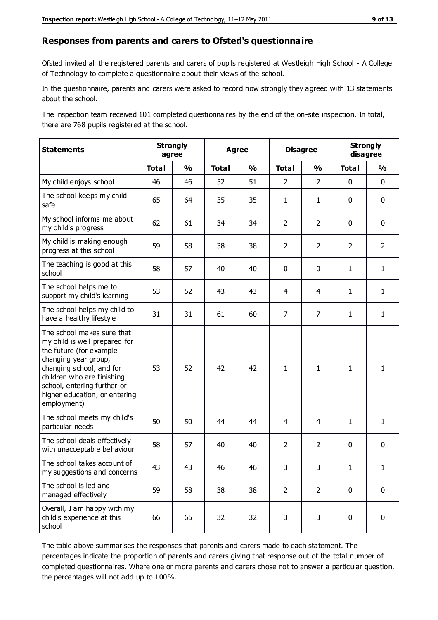#### **Responses from parents and carers to Ofsted's questionnaire**

Ofsted invited all the registered parents and carers of pupils registered at Westleigh High School - A College of Technology to complete a questionnaire about their views of the school.

In the questionnaire, parents and carers were asked to record how strongly they agreed with 13 statements about the school.

The inspection team received 101 completed questionnaires by the end of the on-site inspection. In total, there are 768 pupils registered at the school.

| <b>Statements</b>                                                                                                                                                                                                                                       | <b>Strongly</b><br>agree |               | <b>Agree</b> |               | <b>Disagree</b> |                | <b>Strongly</b><br>disagree |                |
|---------------------------------------------------------------------------------------------------------------------------------------------------------------------------------------------------------------------------------------------------------|--------------------------|---------------|--------------|---------------|-----------------|----------------|-----------------------------|----------------|
|                                                                                                                                                                                                                                                         | <b>Total</b>             | $\frac{1}{2}$ | <b>Total</b> | $\frac{1}{2}$ | <b>Total</b>    | $\frac{1}{2}$  | <b>Total</b>                | $\frac{1}{2}$  |
| My child enjoys school                                                                                                                                                                                                                                  | 46                       | 46            | 52           | 51            | $\overline{2}$  | $\overline{2}$ | $\mathbf 0$                 | $\mathbf 0$    |
| The school keeps my child<br>safe                                                                                                                                                                                                                       | 65                       | 64            | 35           | 35            | $\mathbf{1}$    | $\mathbf{1}$   | $\mathbf 0$                 | $\mathbf 0$    |
| My school informs me about<br>my child's progress                                                                                                                                                                                                       | 62                       | 61            | 34           | 34            | $\overline{2}$  | $\overline{2}$ | $\mathbf 0$                 | $\mathbf 0$    |
| My child is making enough<br>progress at this school                                                                                                                                                                                                    | 59                       | 58            | 38           | 38            | $\overline{2}$  | $\overline{2}$ | $\overline{2}$              | $\overline{2}$ |
| The teaching is good at this<br>school                                                                                                                                                                                                                  | 58                       | 57            | 40           | 40            | 0               | $\mathbf 0$    | $\mathbf{1}$                | $\mathbf{1}$   |
| The school helps me to<br>support my child's learning                                                                                                                                                                                                   | 53                       | 52            | 43           | 43            | 4               | 4              | $\mathbf{1}$                | $\mathbf{1}$   |
| The school helps my child to<br>have a healthy lifestyle                                                                                                                                                                                                | 31                       | 31            | 61           | 60            | $\overline{7}$  | $\overline{7}$ | $\mathbf{1}$                | $\mathbf{1}$   |
| The school makes sure that<br>my child is well prepared for<br>the future (for example<br>changing year group,<br>changing school, and for<br>children who are finishing<br>school, entering further or<br>higher education, or entering<br>employment) | 53                       | 52            | 42           | 42            | $\mathbf{1}$    | $\mathbf{1}$   | $\mathbf{1}$                | 1              |
| The school meets my child's<br>particular needs                                                                                                                                                                                                         | 50                       | 50            | 44           | 44            | 4               | $\overline{4}$ | $\mathbf{1}$                | $\mathbf{1}$   |
| The school deals effectively<br>with unacceptable behaviour                                                                                                                                                                                             | 58                       | 57            | 40           | 40            | $\overline{2}$  | $\overline{2}$ | $\mathbf 0$                 | $\pmb{0}$      |
| The school takes account of<br>my suggestions and concerns                                                                                                                                                                                              | 43                       | 43            | 46           | 46            | 3               | 3              | 1                           | 1              |
| The school is led and<br>managed effectively                                                                                                                                                                                                            | 59                       | 58            | 38           | 38            | $\overline{2}$  | $\overline{2}$ | $\mathbf 0$                 | $\mathbf 0$    |
| Overall, I am happy with my<br>child's experience at this<br>school                                                                                                                                                                                     | 66                       | 65            | 32           | 32            | 3               | 3              | $\mathbf 0$                 | $\pmb{0}$      |

The table above summarises the responses that parents and carers made to each statement. The percentages indicate the proportion of parents and carers giving that response out of the total number of completed questionnaires. Where one or more parents and carers chose not to answer a particular question, the percentages will not add up to 100%.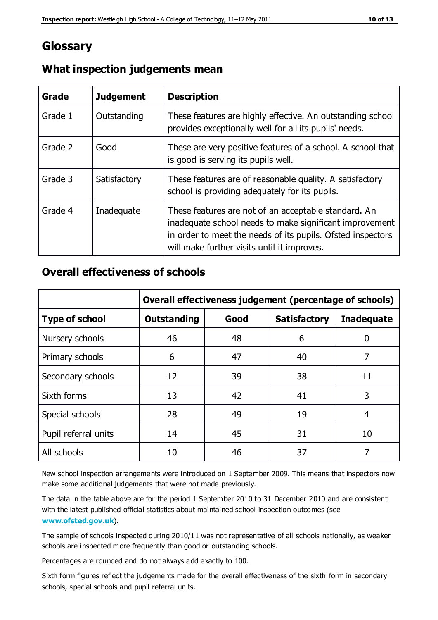## **Glossary**

| Grade   | <b>Judgement</b> | <b>Description</b>                                                                                                                                                                                                            |
|---------|------------------|-------------------------------------------------------------------------------------------------------------------------------------------------------------------------------------------------------------------------------|
| Grade 1 | Outstanding      | These features are highly effective. An outstanding school<br>provides exceptionally well for all its pupils' needs.                                                                                                          |
| Grade 2 | Good             | These are very positive features of a school. A school that<br>is good is serving its pupils well.                                                                                                                            |
| Grade 3 | Satisfactory     | These features are of reasonable quality. A satisfactory<br>school is providing adequately for its pupils.                                                                                                                    |
| Grade 4 | Inadequate       | These features are not of an acceptable standard. An<br>inadequate school needs to make significant improvement<br>in order to meet the needs of its pupils. Ofsted inspectors<br>will make further visits until it improves. |

#### **What inspection judgements mean**

#### **Overall effectiveness of schools**

|                       | Overall effectiveness judgement (percentage of schools) |      |                     |                   |
|-----------------------|---------------------------------------------------------|------|---------------------|-------------------|
| <b>Type of school</b> | <b>Outstanding</b>                                      | Good | <b>Satisfactory</b> | <b>Inadequate</b> |
| Nursery schools       | 46                                                      | 48   | 6                   |                   |
| Primary schools       | 6                                                       | 47   | 40                  | 7                 |
| Secondary schools     | 12                                                      | 39   | 38                  | 11                |
| Sixth forms           | 13                                                      | 42   | 41                  | 3                 |
| Special schools       | 28                                                      | 49   | 19                  | 4                 |
| Pupil referral units  | 14                                                      | 45   | 31                  | 10                |
| All schools           | 10                                                      | 46   | 37                  |                   |

New school inspection arrangements were introduced on 1 September 2009. This means that inspectors now make some additional judgements that were not made previously.

The data in the table above are for the period 1 September 2010 to 31 December 2010 and are consistent with the latest published official statistics about maintained school inspection outcomes (see **[www.ofsted.gov.uk](http://www.ofsted.gov.uk/)**).

The sample of schools inspected during 2010/11 was not representative of all schools nationally, as weaker schools are inspected more frequently than good or outstanding schools.

Percentages are rounded and do not always add exactly to 100.

Sixth form figures reflect the judgements made for the overall effectiveness of the sixth form in secondary schools, special schools and pupil referral units.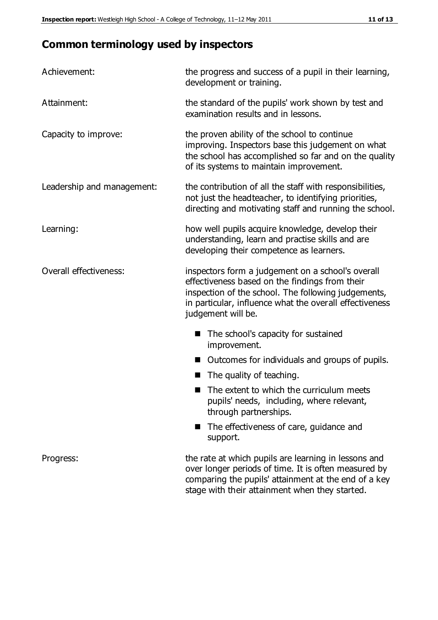## **Common terminology used by inspectors**

| Achievement:               | the progress and success of a pupil in their learning,<br>development or training.                                                                                                                                                          |  |  |
|----------------------------|---------------------------------------------------------------------------------------------------------------------------------------------------------------------------------------------------------------------------------------------|--|--|
| Attainment:                | the standard of the pupils' work shown by test and<br>examination results and in lessons.                                                                                                                                                   |  |  |
| Capacity to improve:       | the proven ability of the school to continue<br>improving. Inspectors base this judgement on what<br>the school has accomplished so far and on the quality<br>of its systems to maintain improvement.                                       |  |  |
| Leadership and management: | the contribution of all the staff with responsibilities,<br>not just the headteacher, to identifying priorities,<br>directing and motivating staff and running the school.                                                                  |  |  |
| Learning:                  | how well pupils acquire knowledge, develop their<br>understanding, learn and practise skills and are<br>developing their competence as learners.                                                                                            |  |  |
| Overall effectiveness:     | inspectors form a judgement on a school's overall<br>effectiveness based on the findings from their<br>inspection of the school. The following judgements,<br>in particular, influence what the overall effectiveness<br>judgement will be. |  |  |
|                            | The school's capacity for sustained<br>improvement.                                                                                                                                                                                         |  |  |
|                            | Outcomes for individuals and groups of pupils.                                                                                                                                                                                              |  |  |
|                            | The quality of teaching.                                                                                                                                                                                                                    |  |  |
|                            | The extent to which the curriculum meets<br>pupils' needs, including, where relevant,<br>through partnerships.                                                                                                                              |  |  |
|                            | The effectiveness of care, guidance and<br>support.                                                                                                                                                                                         |  |  |
| Progress:                  | the rate at which pupils are learning in lessons and<br>over longer periods of time. It is often measured by<br>comparing the pupils' attainment at the end of a key                                                                        |  |  |

stage with their attainment when they started.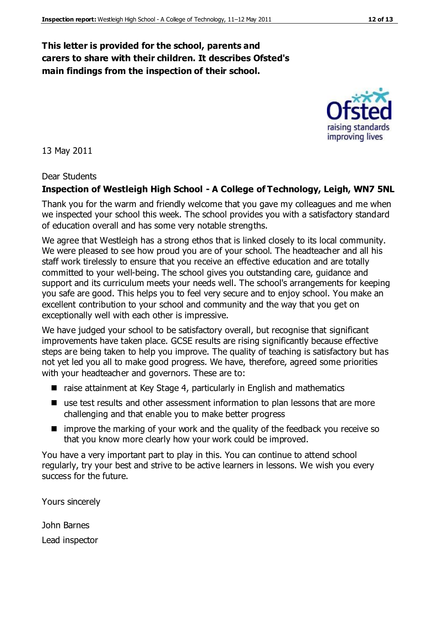#### **This letter is provided for the school, parents and carers to share with their children. It describes Ofsted's main findings from the inspection of their school.**

13 May 2011

#### Dear Students

#### **Inspection of Westleigh High School - A College of Technology, Leigh, WN7 5NL**

Thank you for the warm and friendly welcome that you gave my colleagues and me when we inspected your school this week. The school provides you with a satisfactory standard of education overall and has some very notable strengths.

We agree that Westleigh has a strong ethos that is linked closely to its local community. We were pleased to see how proud you are of your school. The headteacher and all his staff work tirelessly to ensure that you receive an effective education and are totally committed to your well-being. The school gives you outstanding care, guidance and support and its curriculum meets your needs well. The school's arrangements for keeping you safe are good. This helps you to feel very secure and to enjoy school. You make an excellent contribution to your school and community and the way that you get on exceptionally well with each other is impressive.

We have judged your school to be satisfactory overall, but recognise that significant improvements have taken place. GCSE results are rising significantly because effective steps are being taken to help you improve. The quality of teaching is satisfactory but has not yet led you all to make good progress. We have, therefore, agreed some priorities with your headteacher and governors. These are to:

- raise attainment at Key Stage 4, particularly in English and mathematics
- use test results and other assessment information to plan lessons that are more challenging and that enable you to make better progress
- $\blacksquare$  improve the marking of your work and the quality of the feedback you receive so that you know more clearly how your work could be improved.

You have a very important part to play in this. You can continue to attend school regularly, try your best and strive to be active learners in lessons. We wish you every success for the future.

Yours sincerely

John Barnes Lead inspector